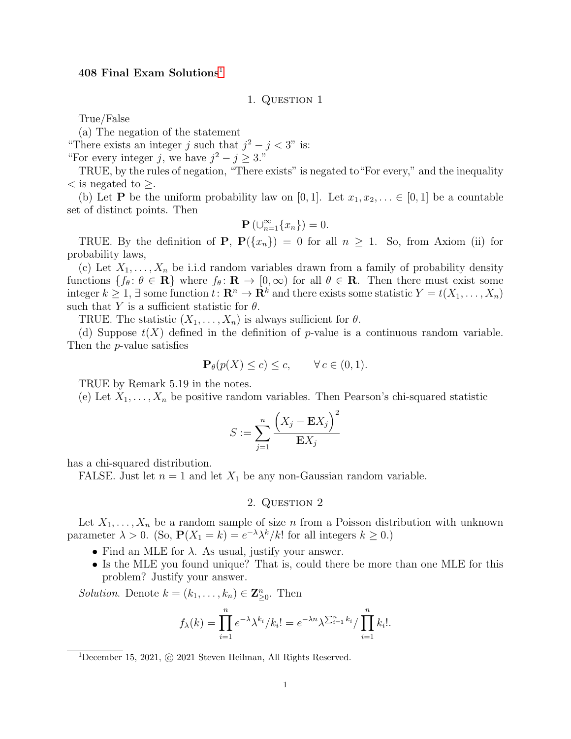## 408 Final Exam Solutions<sup>[1](#page-0-0)</sup>

#### 1. QUESTION 1

True/False

(a) The negation of the statement

"There exists an integer j such that  $j^2 - j < 3$ " is:

"For every integer j, we have  $j^2 - j \geq 3$ ."

TRUE, by the rules of negation, "There exists" is negated to"For every," and the inequality  $\lt$  is negated to  $\geq$ .

(b) Let **P** be the uniform probability law on [0, 1]. Let  $x_1, x_2, \ldots \in [0, 1]$  be a countable set of distinct points. Then

$$
\mathbf{P}\left(\cup_{n=1}^{\infty}\{x_n\}\right)=0.
$$

TRUE. By the definition of **P**,  $P({x_n}) = 0$  for all  $n \ge 1$ . So, from Axiom (ii) for probability laws,

(c) Let  $X_1, \ldots, X_n$  be i.i.d random variables drawn from a family of probability density functions  $\{f_\theta: \theta \in \mathbf{R}\}\$  where  $f_\theta: \mathbf{R} \to [0, \infty)$  for all  $\theta \in \mathbf{R}$ . Then there must exist some integer  $k \geq 1$ ,  $\exists$  some function  $t: \mathbb{R}^n \to \mathbb{R}^k$  and there exists some statistic  $Y = t(X_1, \ldots, X_n)$ such that Y is a sufficient statistic for  $\theta$ .

TRUE. The statistic  $(X_1, \ldots, X_n)$  is always sufficient for  $\theta$ .

(d) Suppose  $t(X)$  defined in the definition of p-value is a continuous random variable. Then the p-value satisfies

$$
\mathbf{P}_{\theta}(p(X) \le c) \le c, \qquad \forall c \in (0,1).
$$

TRUE by Remark 5.19 in the notes.

(e) Let  $X_1, \ldots, X_n$  be positive random variables. Then Pearson's chi-squared statistic

$$
S := \sum_{j=1}^{n} \frac{\left(X_j - \mathbf{E}X_j\right)^2}{\mathbf{E}X_j}
$$

has a chi-squared distribution.

FALSE. Just let  $n = 1$  and let  $X_1$  be any non-Gaussian random variable.

### 2. QUESTION 2

Let  $X_1, \ldots, X_n$  be a random sample of size n from a Poisson distribution with unknown parameter  $\lambda > 0$ . (So,  $P(X_1 = k) = e^{-\lambda} \lambda^k / k!$  for all integers  $k \ge 0$ .)

- Find an MLE for  $\lambda$ . As usual, justify your answer.
- Is the MLE you found unique? That is, could there be more than one MLE for this problem? Justify your answer.

*Solution*. Denote  $k = (k_1, \ldots, k_n) \in \mathbb{Z}_{\geq 0}^n$ . Then

$$
f_{\lambda}(k) = \prod_{i=1}^{n} e^{-\lambda} \lambda^{k_i} / k_i! = e^{-\lambda n} \lambda^{\sum_{i=1}^{n} k_i} / \prod_{i=1}^{n} k_i!.
$$

<span id="page-0-0"></span><sup>1</sup>December 15, 2021, © 2021 Steven Heilman, All Rights Reserved.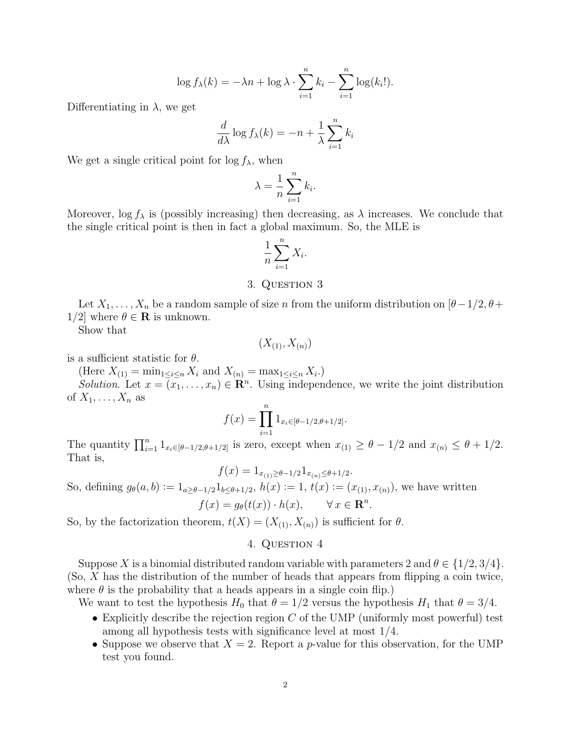$$
\log f_{\lambda}(k) = -\lambda n + \log \lambda \cdot \sum_{i=1}^{n} k_i - \sum_{i=1}^{n} \log(k_i!).
$$

Differentiating in  $\lambda$ , we get

$$
\frac{d}{d\lambda}\log f_{\lambda}(k) = -n + \frac{1}{\lambda}\sum_{i=1}^{n}k_{i}
$$

We get a single critical point for  $\log f_{\lambda}$ , when

$$
\lambda = \frac{1}{n} \sum_{i=1}^{n} k_i.
$$

Moreover,  $\log f_{\lambda}$  is (possibly increasing) then decreasing, as  $\lambda$  increases. We conclude that the single critical point is then in fact a global maximum. So, the MLE is

$$
\frac{1}{n}\sum_{i=1}^n X_i.
$$

#### 3. QUESTION 3

Let  $X_1, \ldots, X_n$  be a random sample of size n from the uniform distribution on  $[\theta-1/2, \theta+1]$  $1/2$  where  $\theta \in \mathbf{R}$  is unknown.

Show that

$$
(X_{(1)},X_{(n)})
$$

is a sufficient statistic for  $\theta$ .

(Here  $X_{(1)} = \min_{1 \leq i \leq n} X_i$  and  $X_{(n)} = \max_{1 \leq i \leq n} X_i$ .)

Solution. Let  $x = (x_1, \ldots, x_n) \in \mathbb{R}^n$ . Using independence, we write the joint distribution of  $X_1, \ldots, X_n$  as

$$
f(x) = \prod_{i=1}^{n} 1_{x_i \in [\theta - 1/2, \theta + 1/2]}.
$$

The quantity  $\prod_{i=1}^n 1_{x_i \in [\theta-1/2,\theta+1/2]}$  is zero, except when  $x_{(1)} \ge \theta - 1/2$  and  $x_{(n)} \le \theta + 1/2$ . That is,

$$
f(x) = 1_{x_{(1)} \ge \theta - 1/2} 1_{x_{(n)} \le \theta + 1/2}.
$$

So, defining  $g_{\theta}(a, b) := 1_{a > \theta - 1/2} 1_{b < \theta + 1/2}$ ,  $h(x) := 1$ ,  $t(x) := (x_{(1)}, x_{(n)})$ , we have written  $f(x) = g_{\theta}(t(x)) \cdot h(x), \quad \forall x \in \mathbb{R}^n.$ 

So, by the factorization theorem,  $t(X) = (X_{(1)}, X_{(n)})$  is sufficient for  $\theta$ .

#### 4. QUESTION 4

Suppose X is a binomial distributed random variable with parameters 2 and  $\theta \in \{1/2, 3/4\}$ .  $(S<sub>0</sub>, X)$  has the distribution of the number of heads that appears from flipping a coin twice, where  $\theta$  is the probability that a heads appears in a single coin flip.)

We want to test the hypothesis  $H_0$  that  $\theta = 1/2$  versus the hypothesis  $H_1$  that  $\theta = 3/4$ .

- Explicitly describe the rejection region  $C$  of the UMP (uniformly most powerful) test among all hypothesis tests with significance level at most 1/4.
- Suppose we observe that  $X = 2$ . Report a *p*-value for this observation, for the UMP test you found.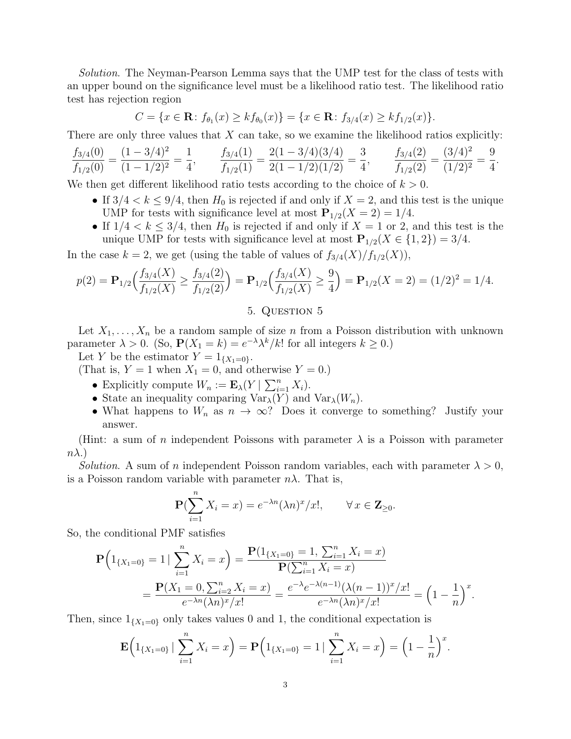Solution. The Neyman-Pearson Lemma says that the UMP test for the class of tests with an upper bound on the significance level must be a likelihood ratio test. The likelihood ratio test has rejection region

$$
C = \{x \in \mathbf{R} : f_{\theta_1}(x) \ge k f_{\theta_0}(x)\} = \{x \in \mathbf{R} : f_{3/4}(x) \ge k f_{1/2}(x)\}.
$$

There are only three values that X can take, so we examine the likelihood ratios explicitly:

$$
\frac{f_{3/4}(0)}{f_{1/2}(0)} = \frac{(1-3/4)^2}{(1-1/2)^2} = \frac{1}{4}, \qquad \frac{f_{3/4}(1)}{f_{1/2}(1)} = \frac{2(1-3/4)(3/4)}{2(1-1/2)(1/2)} = \frac{3}{4}, \qquad \frac{f_{3/4}(2)}{f_{1/2}(2)} = \frac{(3/4)^2}{(1/2)^2} = \frac{9}{4}.
$$

We then get different likelihood ratio tests according to the choice of  $k > 0$ .

- If  $3/4 < k \leq 9/4$ , then  $H_0$  is rejected if and only if  $X = 2$ , and this test is the unique UMP for tests with significance level at most  $P_{1/2}(X = 2) = 1/4$ .
- If  $1/4 < k \leq 3/4$ , then  $H_0$  is rejected if and only if  $X = 1$  or 2, and this test is the unique UMP for tests with significance level at most  $P_{1/2}(X \in \{1,2\}) = 3/4$ .

In the case  $k = 2$ , we get (using the table of values of  $f_{3/4}(X)/f_{1/2}(X)$ ),

$$
p(2) = \mathbf{P}_{1/2}\Big(\frac{f_{3/4}(X)}{f_{1/2}(X)} \ge \frac{f_{3/4}(2)}{f_{1/2}(2)}\Big) = \mathbf{P}_{1/2}\Big(\frac{f_{3/4}(X)}{f_{1/2}(X)} \ge \frac{9}{4}\Big) = \mathbf{P}_{1/2}(X=2) = (1/2)^2 = 1/4.
$$

#### 5. QUESTION 5

Let  $X_1, \ldots, X_n$  be a random sample of size n from a Poisson distribution with unknown parameter  $\lambda > 0$ . (So,  $P(X_1 = k) = e^{-\lambda} \lambda^k / k!$  for all integers  $k \ge 0$ .)

Let Y be the estimator  $Y = 1_{\{X_1=0\}}$ .

(That is,  $Y = 1$  when  $X_1 = 0$ , and otherwise  $Y = 0$ .)

- Explicitly compute  $W_n := \mathbf{E}_{\lambda}(Y | \sum_{i=1}^n X_i)$ .
- State an inequality comparing  $\text{Var}_{\lambda}(Y)$  and  $\text{Var}_{\lambda}(W_n)$ .
- What happens to  $W_n$  as  $n \to \infty$ ? Does it converge to something? Justify your answer.

(Hint: a sum of n independent Poissons with parameter  $\lambda$  is a Poisson with parameter  $n\lambda$ .)

Solution. A sum of n independent Poisson random variables, each with parameter  $\lambda > 0$ , is a Poisson random variable with parameter  $n\lambda$ . That is,

$$
\mathbf{P}(\sum_{i=1}^{n} X_i = x) = e^{-\lambda n} (\lambda n)^x / x!, \qquad \forall x \in \mathbf{Z}_{\geq 0}.
$$

So, the conditional PMF satisfies

$$
\mathbf{P}\Big(1_{\{X_1=0\}}=1\,\big|\sum_{i=1}^n X_i=x\Big)=\frac{\mathbf{P}(1_{\{X_1=0\}}=1,\sum_{i=1}^n X_i=x)}{\mathbf{P}(\sum_{i=1}^n X_i=x)}\\=\frac{\mathbf{P}(X_1=0,\sum_{i=2}^n X_i=x)}{e^{-\lambda n}(\lambda n)^x/x!}=\frac{e^{-\lambda}e^{-\lambda(n-1)}(\lambda(n-1))^x/x!}{e^{-\lambda n}(\lambda n)^x/x!}=\left(1-\frac{1}{n}\right)^x.
$$

Then, since  $1_{\{X_1=0\}}$  only takes values 0 and 1, the conditional expectation is

$$
\mathbf{E}\Big(1_{\{X_1=0\}}\,\big|\,\sum_{i=1}^n X_i=x\Big)=\mathbf{P}\Big(1_{\{X_1=0\}}=1\,\big|\,\sum_{i=1}^n X_i=x\Big)=\Big(1-\frac{1}{n}\Big)^x.
$$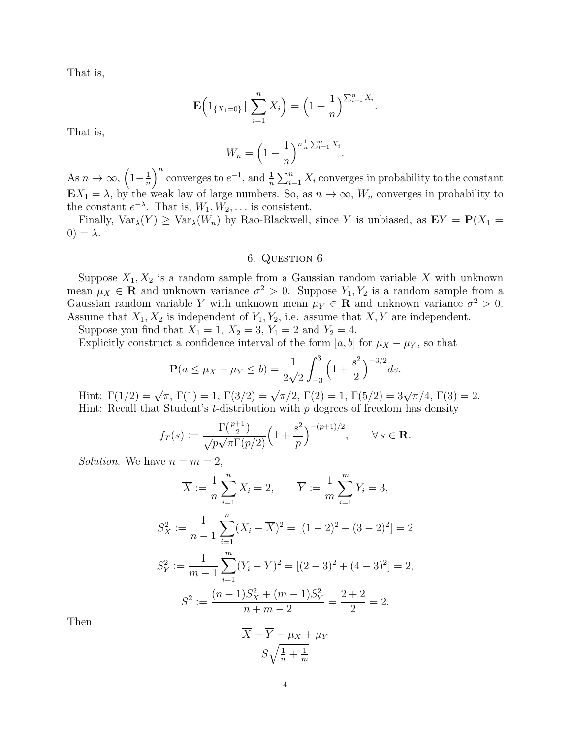That is,

$$
\mathbf{E}\Big(1_{\{X_1=0\}}\,\big|\,\sum_{i=1}^n X_i\Big) = \Big(1-\frac{1}{n}\Big)^{\sum_{i=1}^n X_i}.
$$

That is,

$$
W_n = \left(1 - \frac{1}{n}\right)^{n \frac{1}{n} \sum_{i=1}^n X_i}
$$

.

As  $n \to \infty$ ,  $\left(1 - \frac{1}{n}\right)$  $\frac{1}{n}\bigg)^n$  converges to  $e^{-1}$ , and  $\frac{1}{n}\sum_{i=1}^n X_i$  converges in probability to the constant  $\mathbf{E}X_1 = \lambda$ , by the weak law of large numbers. So, as  $n \to \infty$ ,  $W_n$  converges in probability to the constant  $e^{-\lambda}$ . That is,  $W_1, W_2, \ldots$  is consistent.

Finally,  $Var_{\lambda}(Y) \geq Var_{\lambda}(W_n)$  by Rao-Blackwell, since Y is unbiased, as  $EY = P(X_1 =$  $0) = \lambda$ .

#### 6. Question 6

Suppose  $X_1, X_2$  is a random sample from a Gaussian random variable X with unknown mean  $\mu_X \in \mathbf{R}$  and unknown variance  $\sigma^2 > 0$ . Suppose  $Y_1, Y_2$  is a random sample from a Gaussian random variable Y with unknown mean  $\mu_Y \in \mathbb{R}$  and unknown variance  $\sigma^2 > 0$ . Assume that  $X_1, X_2$  is independent of  $Y_1, Y_2$ , i.e. assume that  $X, Y$  are independent.

Suppose you find that  $X_1 = 1, X_2 = 3, Y_1 = 2$  and  $Y_2 = 4$ .

Explicitly construct a confidence interval of the form [a, b] for  $\mu_X - \mu_Y$ , so that

$$
\mathbf{P}(a \le \mu_X - \mu_Y \le b) = \frac{1}{2\sqrt{2}} \int_{-3}^{3} \left(1 + \frac{s^2}{2}\right)^{-3/2} ds.
$$

Hint:  $\Gamma(1/2) = \sqrt{\pi}, \Gamma(1) = 1, \Gamma(3/2) = \sqrt{\pi}/2, \Gamma(2) = 1, \Gamma(5/2) = 3\sqrt{\pi}/4, \Gamma(3) = 2.$ Hint: Recall that Student's t-distribution with  $p$  degrees of freedom has density

$$
f_T(s) := \frac{\Gamma(\frac{p+1}{2})}{\sqrt{p}\sqrt{\pi}\Gamma(p/2)} \left(1 + \frac{s^2}{p}\right)^{-(p+1)/2}, \qquad \forall s \in \mathbf{R}.
$$

Solution. We have  $n = m = 2$ ,

$$
\overline{X} := \frac{1}{n} \sum_{i=1}^{n} X_i = 2, \qquad \overline{Y} := \frac{1}{m} \sum_{i=1}^{m} Y_i = 3,
$$
  

$$
S_X^2 := \frac{1}{n-1} \sum_{i=1}^{n} (X_i - \overline{X})^2 = [(1-2)^2 + (3-2)^2] = 2
$$
  

$$
S_Y^2 := \frac{1}{m-1} \sum_{i=1}^{m} (Y_i - \overline{Y})^2 = [(2-3)^2 + (4-3)^2] = 2,
$$
  

$$
S^2 := \frac{(n-1)S_X^2 + (m-1)S_Y^2}{n+m-2} = \frac{2+2}{2} = 2.
$$

Then

$$
\frac{\overline{X} - \overline{Y} - \mu_X + \mu_Y}{S\sqrt{\frac{1}{n} + \frac{1}{m}}}
$$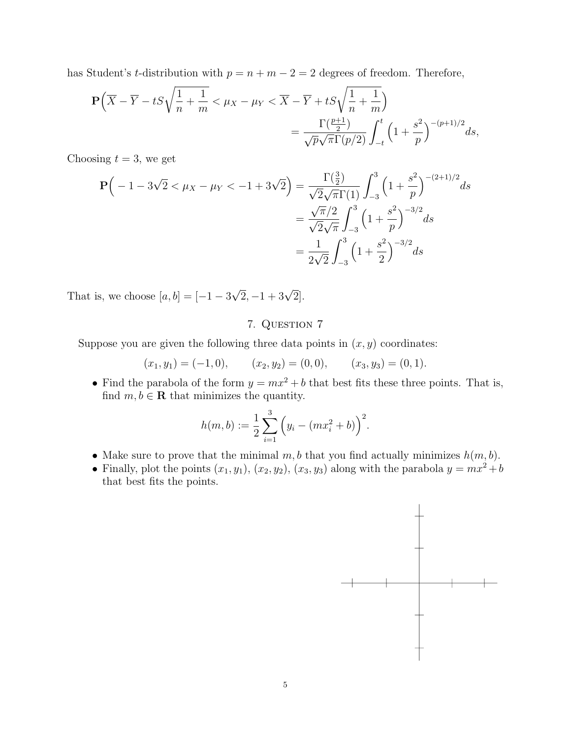has Student's t-distribution with  $p = n + m - 2 = 2$  degrees of freedom. Therefore,

$$
\mathbf{P}\left(\overline{X} - \overline{Y} - tS\sqrt{\frac{1}{n} + \frac{1}{m}} < \mu_X - \mu_Y < \overline{X} - \overline{Y} + tS\sqrt{\frac{1}{n} + \frac{1}{m}}\right) = \frac{\Gamma(\frac{p+1}{2})}{\sqrt{p}\sqrt{\pi}\Gamma(p/2)} \int_{-t}^{t} \left(1 + \frac{s^2}{p}\right)^{-(p+1)/2} ds,
$$

Choosing  $t = 3$ , we get

$$
\mathbf{P}\left(-1 - 3\sqrt{2} < \mu_X - \mu_Y < -1 + 3\sqrt{2}\right) = \frac{\Gamma(\frac{3}{2})}{\sqrt{2}\sqrt{\pi}\Gamma(1)} \int_{-3}^{3} \left(1 + \frac{s^2}{p}\right)^{-(2+1)/2} ds
$$
\n
$$
= \frac{\sqrt{\pi}/2}{\sqrt{2}\sqrt{\pi}} \int_{-3}^{3} \left(1 + \frac{s^2}{p}\right)^{-3/2} ds
$$
\n
$$
= \frac{1}{2\sqrt{2}} \int_{-3}^{3} \left(1 + \frac{s^2}{2}\right)^{-3/2} ds
$$

That is, we choose  $[a, b] = [-1 - 3]$  $\sqrt{2}, -1 + 3\sqrt{2}$ .

# 7. QUESTION 7

Suppose you are given the following three data points in  $(x, y)$  coordinates:

$$
(x_1, y_1) = (-1, 0),
$$
  $(x_2, y_2) = (0, 0),$   $(x_3, y_3) = (0, 1).$ 

• Find the parabola of the form  $y = mx^2 + b$  that best fits these three points. That is, find  $m, b \in \mathbf{R}$  that minimizes the quantity.

$$
h(m, b) := \frac{1}{2} \sum_{i=1}^{3} (y_i - (mx_i^2 + b))^2.
$$

- Make sure to prove that the minimal  $m, b$  that you find actually minimizes  $h(m, b)$ .
- Finally, plot the points  $(x_1, y_1)$ ,  $(x_2, y_2)$ ,  $(x_3, y_3)$  along with the parabola  $y = mx^2 + b$ that best fits the points.

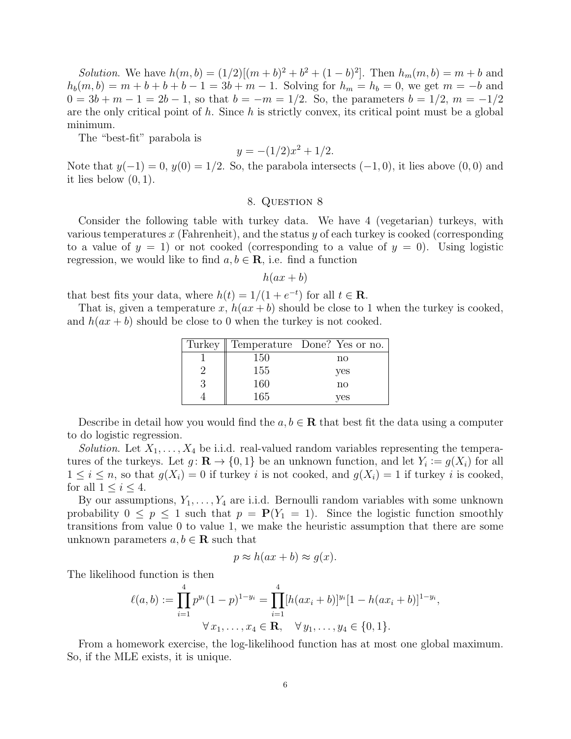*Solution*. We have  $h(m, b) = (1/2)[(m+b)^2 + b^2 + (1-b)^2]$ . Then  $h_m(m, b) = m + b$  and  $h_b(m, b) = m + b + b + b - 1 = 3b + m - 1$ . Solving for  $h_m = h_b = 0$ , we get  $m = -b$  and  $0 = 3b + m - 1 = 2b - 1$ , so that  $b = -m = 1/2$ . So, the parameters  $b = 1/2$ ,  $m = -1/2$ are the only critical point of h. Since h is strictly convex, its critical point must be a global minimum.

The "best-fit" parabola is

$$
y = -(1/2)x^2 + 1/2.
$$

Note that  $y(-1) = 0$ ,  $y(0) = 1/2$ . So, the parabola intersects  $(-1, 0)$ , it lies above  $(0, 0)$  and it lies below  $(0, 1)$ .

#### 8. QUESTION 8

Consider the following table with turkey data. We have 4 (vegetarian) turkeys, with various temperatures  $x$  (Fahrenheit), and the status  $y$  of each turkey is cooked (corresponding to a value of  $y = 1$ ) or not cooked (corresponding to a value of  $y = 0$ ). Using logistic regression, we would like to find  $a, b \in \mathbf{R}$ , i.e. find a function

$$
h(ax + b)
$$

that best fits your data, where  $h(t) = 1/(1 + e^{-t})$  for all  $t \in \mathbb{R}$ .

That is, given a temperature x,  $h(ax + b)$  should be close to 1 when the turkey is cooked, and  $h(ax + b)$  should be close to 0 when the turkey is not cooked.

| Turkey |     | Temperature Done? Yes or no. |
|--------|-----|------------------------------|
|        | 150 | no                           |
|        | 155 | yes                          |
|        | 160 | no                           |
|        | 165 | ves                          |

Describe in detail how you would find the  $a, b \in \mathbf{R}$  that best fit the data using a computer to do logistic regression.

Solution. Let  $X_1, \ldots, X_4$  be i.i.d. real-valued random variables representing the temperatures of the turkeys. Let  $g: \mathbf{R} \to \{0,1\}$  be an unknown function, and let  $Y_i := g(X_i)$  for all  $1 \leq i \leq n$ , so that  $g(X_i) = 0$  if turkey i is not cooked, and  $g(X_i) = 1$  if turkey i is cooked, for all  $1 \leq i \leq 4$ .

By our assumptions,  $Y_1, \ldots, Y_4$  are i.i.d. Bernoulli random variables with some unknown probability  $0 \leq p \leq 1$  such that  $p = P(Y_1 = 1)$ . Since the logistic function smoothly transitions from value 0 to value 1, we make the heuristic assumption that there are some unknown parameters  $a, b \in \mathbf{R}$  such that

$$
p \approx h(ax + b) \approx g(x).
$$

The likelihood function is then

$$
\ell(a,b) := \prod_{i=1}^{4} p^{y_i} (1-p)^{1-y_i} = \prod_{i=1}^{4} [h(ax_i+b)]^{y_i} [1-h(ax_i+b)]^{1-y_i},
$$
  

$$
\forall x_1, \dots, x_4 \in \mathbf{R}, \quad \forall y_1, \dots, y_4 \in \{0,1\}.
$$

From a homework exercise, the log-likelihood function has at most one global maximum. So, if the MLE exists, it is unique.